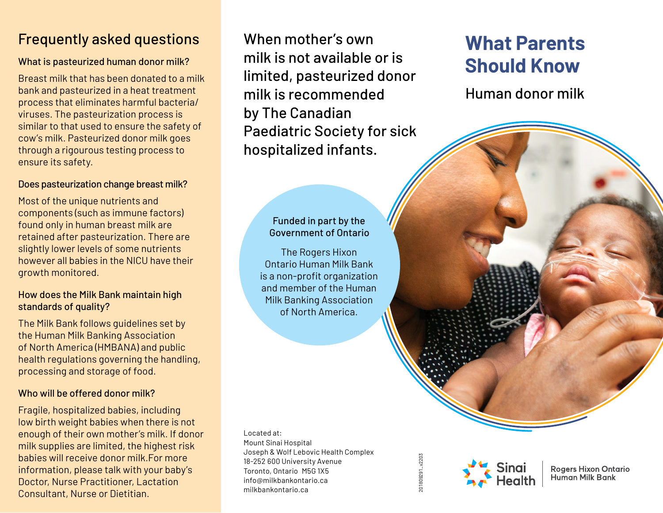## Frequently asked questions

### What is pasteurized human donor milk?

Breast milk that has been donated to a milk bank and pasteurized in a heat treatment process that eliminates harmful bacteria/ viruses. The pasteurization process is similar to that used to ensure the safety of cow's milk. Pasteurized donor milk goes through a rigourous testing process to ensure its safety.

### Does pasteurization change breast milk?

Most of the unique nutrients and components (such as immune factors) found only in human breast milk are retained after pasteurization. There are slightly lower levels of some nutrients however all babies in the NICU have their growth monitored.

#### How does the Milk Bank maintain high standards of quality?

The Milk Bank follows guidelines set by the Human Milk Banking Association of North America (HMBANA) and public health regulations governing the handling, processing and storage of food.

### Who will be offered donor milk?

Fragile, hospitalized babies, including low birth weight babies when there is not enough of their own mother's milk. If donor milk supplies are limited, the highest risk babies will receive donor milk.For more information, please talk with your baby's Doctor, Nurse Practitioner, Lactation Consultant, Nurse or Dietitian.

When mother's own milk is not available or is limited, pasteurized donor milk is recommended by The Canadian Paediatric Society for sick hospitalized infants.

### Funded in part by the Government of Ontario

The Rogers Hixon Ontario Human Milk Bank is a non-profit organization and member of the Human Milk Banking Association of North America.

Located at: Mount Sinai Hospital Joseph & Wolf Lebovic Health Complex 18-252 600 University Avenue Toronto, Ontario M5G 1X5 info@milkbankontario.ca milkbankontario.ca

# **What Parents Should Know**

Human donor milk

201809291\_v2203 201809291\_v2203



**Rogers Hixon Ontario Human Milk Bank**